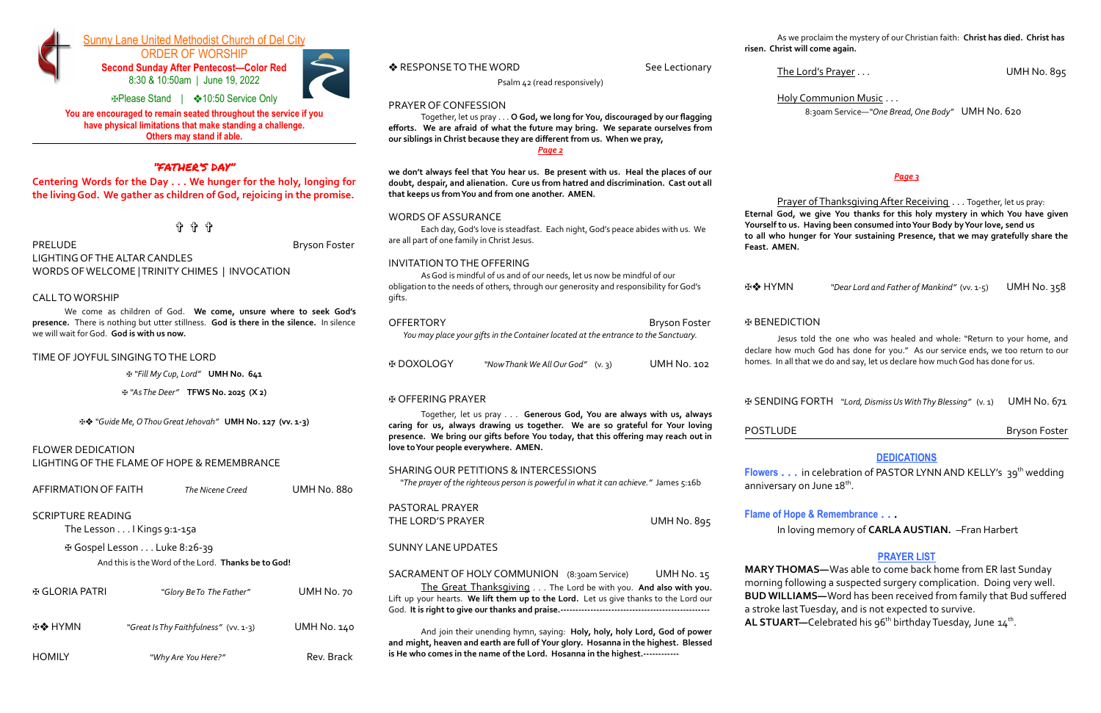

# Sunny Lane United Methodist Church of Del City

ORDER OF WORSHIP **Second Sunday After Pentecost—Color Red** 8:30 & 10:50am | June 19, 2022



✠Please Stand | ❖10:50 Service Only **You are encouraged to remain seated throughout the service if you have physical limitations that make standing a challenge.**

**Others may stand if able.**

### "FATHER'S DAY"

**Centering Words for the Day . . . We hunger for the holy, longing for the living God. We gather as children of God, rejoicing in the promise.**

✞ ✞ ✞

PRELUDE **Bryson Foster** 

LIGHTING OF THE ALTAR CANDLES WORDS OF WELCOME | TRINITY CHIMES | INVOCATION

### CALL TO WORSHIP

We come as children of God. **We come, unsure where to seek God's presence.** There is nothing but utter stillness. **God is there in the silence.** In silence we will wait forGod. **God is with us now.**

### TIME OF JOYFUL SINGING TO THE LORD

✠ *"Fill My Cup, Lord"* **UMH No. 641**

✠ *"AsThe Deer"* **TFWS No. 2025 (X 2)**

✠❖ *"Guide Me,OThouGreatJehovah"* **UMH No. 127 (vv. 1-3)**

Each day,God's love is steadfast. Each night,God's peace abides with us. We are all part of one family in Christ Jesus.

### FLOWER DEDICATION LIGHTING OF THE FLAME OF HOPE & REMEMBRANCE

| AFFIRMATION OF FAITH | The Nicene Creed | UMH No. 880 |
|----------------------|------------------|-------------|
|                      |                  |             |

### SCRIPTURE READING

The Lesson . . . I Kings 9:1-15a

✠ Gospel Lesson . . . Luke 8:26-39

And this is theWord of the Lord. **Thanks be toGod!**

| H GLORIA PATRI | "Glory Be To The Father"              | UMH No. 70  |
|----------------|---------------------------------------|-------------|
| <b>E❖ HYMN</b> | "Great Is Thy Faithfulness" (vv. 1-3) | UMH No. 140 |
| <b>HOMILY</b>  | "Why Are You Here?"                   | Rev. Brack  |

PASTORAL PRAYER THE LORD'S PRAYER UMH No. 895

Psalm 42 (read responsively)

### PRAYER OF CONFESSION

Together, let us pray . . . **O God, we long for You, discouraged by our flagging efforts. We are afraid of what the future may bring. We separate ourselves from our siblings in Christ because they are different from us. When we pray,** *Page 2*

SACRAMENT OF HOLY COMMUNION (8:30am Service) UMH No. 15 The Great Thanksgiving . . . The Lord be with you. **And also with you.** Lift up your hearts. **We lift them up to the Lord.** Let us give thanks to the Lord our God. **It is right to give our thanks and praise.--------------------------------------------------**

**we don't always feel that You hear us. Be present with us. Heal the places of our doubt, despair, and alienation. Cure us from hatred and discrimination. Cast out all that keeps us fromYou and from one another. AMEN.**

### WORDS OF ASSURANCE

Prayer of Thanksgiving After Receiving . . . Together, let us pray: **Eternal God, we give You thanks for this holy mystery in which You have given Yourself to us. Having been consumed intoYour Body byYour love, send us to all who hunger for Your sustaining Presence, that we may gratefully share the**

Jesus told the one who was healed and whole: "Return to your home, and declare how much God has done for you." As our service ends, we too return to our homes. In all that we do and say, let us declare how much God has done for us.

**Flowers** . . . in celebration of PASTOR LYNN AND KELLY's 39<sup>th</sup> wedding anniversary on June 1 $8^{\rm th}$ .

### INVITATION TO THE OFFERING

AsGod is mindful of us and of our needs, let us now be mindful of our obligation to the needs of others, through our generosity and responsibility forGod's gifts.

> **MARY THOMAS—**Was able to come back home from ER last Sunday morning following a suspected surgery complication. Doing very well. **BUD WILLIAMS—**Word has been received from family that Bud suffered a stroke last Tuesday, and is not expected to survive. **AL STUART—**Celebrated his 96<sup>th</sup> birthday Tuesday, June 14<sup>th</sup>.

| <b>OFFERTORY</b>                                                                    | <b>Bryson Foster</b> |
|-------------------------------------------------------------------------------------|----------------------|
| You may place your gifts in the Container located at the entrance to the Sanctuary. |                      |
|                                                                                     |                      |

✠ DOXOLOGY *"NowThankWe AllOurGod"* (v. 3) UMH No. 102

### ✠ OFFERING PRAYER

Together, let us pray . . . **Generous God, You are always with us, always caring for us, always drawing us together. We are so grateful for Your loving presence. We bring our gifts before You today, that this offering may reach out in love toYour people everywhere. AMEN.**

### SHARING OUR PETITIONS & INTERCESSIONS

*"The prayer of the righteous person is powerful in what it can achieve."* James 5:16b

### SUNNY LANE UPDATES

And join their unending hymn, saying: **Holy, holy, holy Lord, God of power and might, heaven and earth are full of Your glory. Hosanna in the highest. Blessed is He who comes in the name of the Lord. Hosanna in the highest.------------**

As we proclaim the mystery of our Christian faith: **Christ has died. Christ has risen. Christ will come again.**

◆ RESPONSE TO THE WORD See Lectionary

The Lord's Prayer . . . UMH No. 895

Holy Communion Music . . . 8:30am Service—*"One Bread,One Body"* UMH No. 620

### *Page 3*

# **Feast. AMEN.**

✠❖ HYMN *"Dear Lord and Father of Mankind"* (vv. 1-5) UMH No. 358

### ✠ BENEDICTION

✠ SENDING FORTH *"Lord, DismissUsWithThy Blessing"* (v. 1) UMH No. 671

POSTLUDE **Bryson Foster** 

### **DEDICATIONS**

**Flame of Hope & Remembrance** . . . In loving memory of **CARLA AUSTIAN.** –Fran Harbert

### **PRAYER LIST**